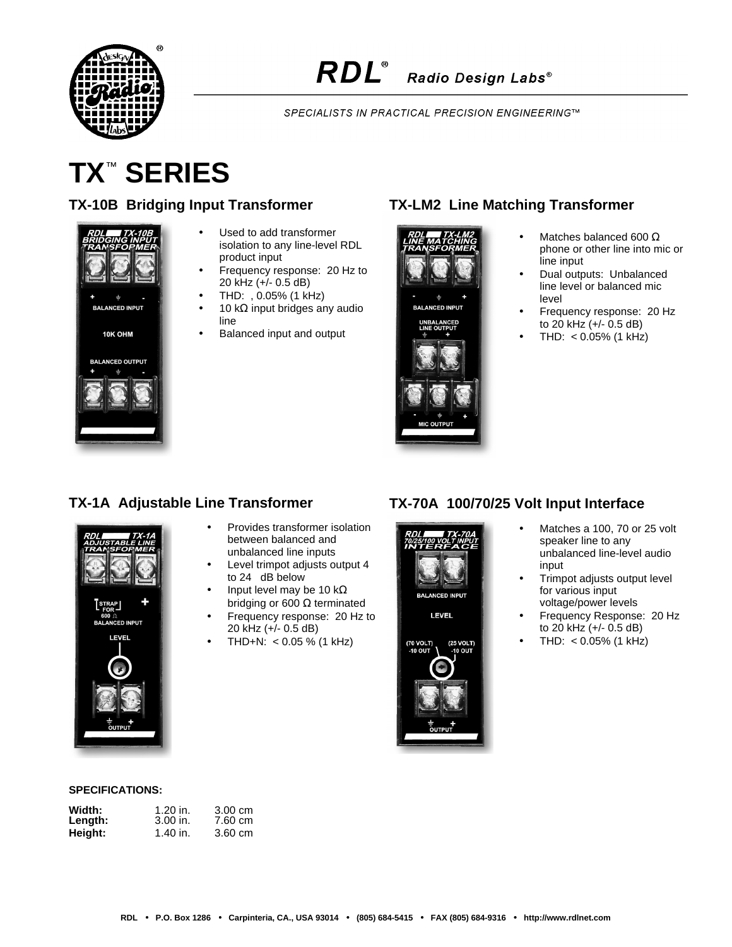

SPECIALISTS IN PRACTICAL PRECISION ENGINEERING™

# **TX**™  **SERIES**

#### **TX-10B Bridging Input Transformer**



- Used to add transformer isolation to any line-level RDL product input
- Frequency response: 20 Hz to 20 kHz (+/- 0.5 dB)
- THD: , 0.05% (1 kHz)
- 10 kΩ input bridges any audio line
- Balanced input and output

## **TX-LM2 Line Matching Transformer**





- Matches balanced 600  $\Omega$ phone or other line into mic or line input
- Dual outputs: Unbalanced line level or balanced mic level
- Frequency response: 20 Hz to 20 kHz (+/- 0.5 dB)
- $THD: < 0.05\%$  (1 kHz)

#### **TX-1A Adjustable Line Transformer**



#### • Provides transformer isolation between balanced and unbalanced line inputs

- Level trimpot adjusts output 4 to 24 dB below
- Input level may be 10 kΩ bridging or 600  $Ω$  terminated
- Frequency response: 20 Hz to 20 kHz (+/- 0.5 dB)
- $THD+N: < 0.05$  % (1 kHz)

## **TX-70A 100/70/25 Volt Input Interface**



LEVEL



- Matches a 100, 70 or 25 volt speaker line to any unbalanced line-level audio input
- Trimpot adjusts output level for various input voltage/power levels
- Frequency Response: 20 Hz to 20 kHz (+/- 0.5 dB)
- $THD: < 0.05\%$  (1 kHz)

#### **SPECIFICATIONS:**

| Width:  | $1.20$ in. | $3.00 \text{ cm}$ |
|---------|------------|-------------------|
| Length: | $3.00$ in. | 7.60 cm           |
| Height: | 1.40 in.   | 3.60 cm           |